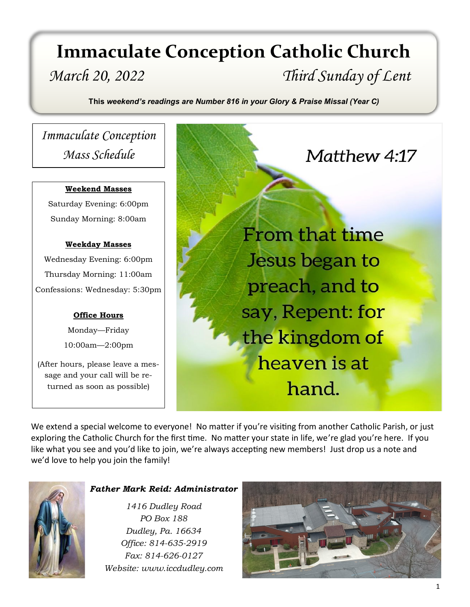# *March 20, 2022 Third Sunday of Lent* **Immaculate Conception Catholic Church**

**This** *weekend's readings are Number 816 in your Glory & Praise Missal (Year C)*

# *Immaculate Conception Mass Schedule*

#### **Weekend Masses**

Saturday Evening: 6:00pm Sunday Morning: 8:00am

#### **Weekday Masses**

Wednesday Evening: 6:00pm Thursday Morning: 11:00am Confessions: Wednesday: 5:30pm

#### **Office Hours**

Monday—Friday 10:00am—2:00pm

(After hours, please leave a message and your call will be returned as soon as possible)

From that time Jesus began to preach, and to say, Repent: for the kingdom of heaven is at hand.

Matthew 4:17

We extend a special welcome to everyone! No matter if you're visiting from another Catholic Parish, or just exploring the Catholic Church for the first time. No matter your state in life, we're glad you're here. If you like what you see and you'd like to join, we're always accepting new members! Just drop us a note and we'd love to help you join the family!



#### *Father Mark Reid: Administrator*

*1416 Dudley Road PO Box 188 Dudley, Pa. 16634 Office: 814-635-2919 Fax: 814-626-0127 Website: www.iccdudley.com*

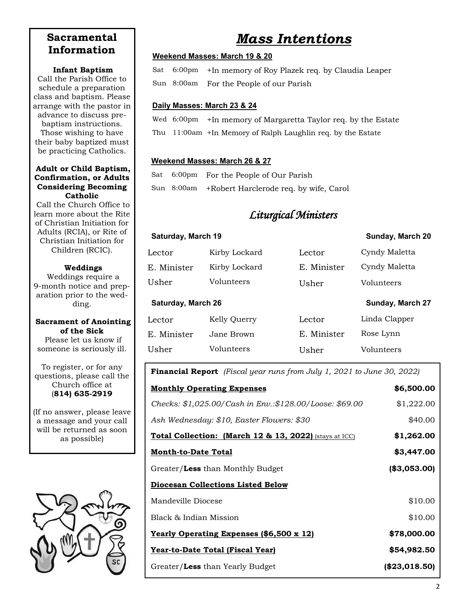## **Sacramental Information**

#### **Infant Baptism**

Call the Parish Office to schedule a preparation class and baptism. Please arrange with the pastor in advance to discuss prebaptism instructions. Those wishing to have their baby baptized must be practicing Catholics.

#### **Adult or Child Baptism, Confirmation, or Adults Considering Becoming Catholic**

Call the Church Office to learn more about the Rite of Christian Initiation for Adults (RCIA), or Rite of Christian Initiation for Children (RCIC).

#### **Weddings**

Weddings require a 9-month notice and preparation prior to the wedding.

#### **Sacrament of Anointing of the Sick**

Please let us know if someone is seriously ill.

To register, or for any questions, please call the Church office at (**814) 635-2919**

(If no answer, please leave a message and your call will be returned as soon as possible)



# *Mass Intentions*

#### **Weekend Masses: March 19 & 20**

Sat 6:00pm +In memory of Roy Plazek req. by Claudia Leaper Sun 8:00am For the People of our Parish

#### **Daily Masses: March 23 & 24**

Wed 6:00pm +In memory of Margaretta Taylor req. by the Estate Thu 11:00am +In Memory of Ralph Laughlin req. by the Estate

#### **Weekend Masses: March 26 & 27**

Sat 6:00pm For the People of Our Parish Sun 8:00am +Robert Harclerode req. by wife, Carol

## *Liturgical Ministers*

| Saturday, March 19        |               |             | Sunday, March 20 |
|---------------------------|---------------|-------------|------------------|
| Lector                    | Kirby Lockard | Lector      | Cyndy Maletta    |
| E. Minister               | Kirby Lockard | E. Minister | Cyndy Maletta    |
| Usher                     | Volunteers    | Usher       | Volunteers       |
| <b>Saturday, March 26</b> |               |             |                  |
|                           |               |             | Sunday, March 27 |
| Lector                    | Kelly Querry  | Lector      | Linda Clapper    |
| E. Minister               | Jane Brown.   | E. Minister | Rose Lynn        |

#### **Financial Report** *(Fiscal year runs from July 1, 2021 to June 30, 2022)*

| <b>Monthly Operating Expenses</b>                       | \$6,500.00      |
|---------------------------------------------------------|-----------------|
| Checks: \$1,025.00/Cash in Env.:\$128.00/Loose: \$69.00 | \$1,222.00      |
| Ash Wednesday: \$10, Easter Flowers: \$30               | \$40.00         |
| Total Collection: (March 12 & 13, 2022) (stays at ICC)  | \$1,262.00      |
| <b>Month-to-Date Total</b>                              | \$3,447.00      |
| Greater/Less than Monthly Budget                        | (\$3,053.00)    |
| <b>Diocesan Collections Listed Below</b>                |                 |
| Mandeville Diocese                                      | \$10.00         |
| Black & Indian Mission                                  | \$10.00         |
| <u>Yearly Operating Expenses (\$6,500 x 12)</u>         | \$78,000.00     |
| Year-to-Date Total (Fiscal Year)                        | \$54,982.50     |
| Greater/Less than Yearly Budget                         | $(\$23,018.50)$ |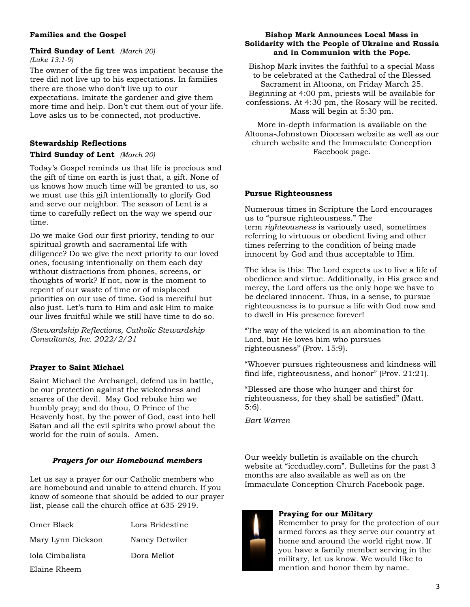#### **Third Sunday of Lent** *(March 20) (Luke 13:1-9)*

The owner of the fig tree was impatient because the tree did not live up to his expectations. In families there are those who don't live up to our expectations. Imitate the gardener and give them more time and help. Don't cut them out of your life. Love asks us to be connected, not productive.

### **Stewardship Reflections**

#### **Third Sunday of Lent** *(March 20)*

Today's Gospel reminds us that life is precious and the gift of time on earth is just that, a gift. None of us knows how much time will be granted to us, so we must use this gift intentionally to glorify God and serve our neighbor. The season of Lent is a time to carefully reflect on the way we spend our time.

Do we make God our first priority, tending to our spiritual growth and sacramental life with diligence? Do we give the next priority to our loved ones, focusing intentionally on them each day without distractions from phones, screens, or thoughts of work? If not, now is the moment to repent of our waste of time or of misplaced priorities on our use of time. God is merciful but also just. Let's turn to Him and ask Him to make our lives fruitful while we still have time to do so.

*(Stewardship Reflections, Catholic Stewardship Consultants, Inc. 2022/2/21* 

#### **Prayer to Saint Michael**

Saint Michael the Archangel, defend us in battle, be our protection against the wickedness and snares of the devil. May God rebuke him we humbly pray; and do thou, O Prince of the Heavenly host, by the power of God, cast into hell Satan and all the evil spirits who prowl about the world for the ruin of souls. Amen.

#### *Prayers for our Homebound members*

Let us say a prayer for our Catholic members who are homebound and unable to attend church. If you know of someone that should be added to our prayer list, please call the church office at 635-2919.

| Omer Black        | Lora Bridestine |
|-------------------|-----------------|
| Mary Lynn Dickson | Nancy Detwiler  |
| Iola Cimbalista   | Dora Mellot     |
| Elaine Rheem      |                 |

#### **Families and the Gospel Bishop Mark Announces Local Mass in Solidarity with the People of Ukraine and Russia and in Communion with the Pope.**

Bishop Mark invites the faithful to a special Mass to be celebrated at the Cathedral of the Blessed Sacrament in Altoona, on Friday March 25. Beginning at 4:00 pm, priests will be available for confessions. At 4:30 pm, the Rosary will be recited. Mass will begin at 5:30 pm.

More in-depth information is available on the Altoona-Johnstown Diocesan website as well as our church website and the Immaculate Conception Facebook page.

#### **Pursue Righteousness**

Numerous times in Scripture the Lord encourages us to "pursue righteousness." The term *righteousness* is variously used, sometimes referring to virtuous or obedient living and other times referring to the condition of being made innocent by God and thus acceptable to Him.

The idea is this: The Lord expects us to live a life of obedience and virtue. Additionally, in His grace and mercy, the Lord offers us the only hope we have to be declared innocent. Thus, in a sense, to pursue righteousness is to pursue a life with God now and to dwell in His presence forever!

"The way of the wicked is an abomination to the Lord, but He loves him who pursues righteousness" (Prov. 15:9).

"Whoever pursues righteousness and kindness will find life, righteousness, and honor" (Prov. 21:21).

"Blessed are those who hunger and thirst for righteousness, for they shall be satisfied" (Matt. 5:6).

*Bart Warren*

Our weekly bulletin is available on the church website at "iccdudley.com". Bulletins for the past 3 months are also available as well as on the Immaculate Conception Church Facebook page.

#### **Praying for our Military**

Remember to pray for the protection of our armed forces as they serve our country at home and around the world right now. If you have a family member serving in the military, let us know. We would like to mention and honor them by name.